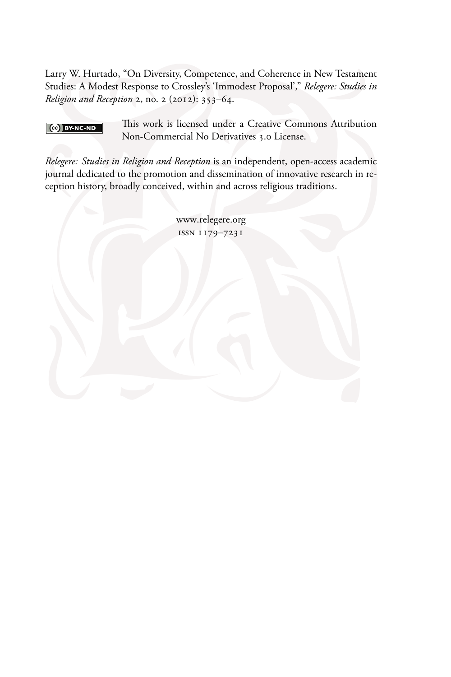Larry W. Hurtado, "On Diversity, Competence, and Coherence in New Testament Studies: A Modest Response to Crossley's 'Immodest Proposal'," Relegere: Studies in Religion and Reception 2, no. 2 (2012): 353-64.

#### $\left[\begin{array}{cc} \text{(c)} \end{array}\right]$  BY-NC-ND

This work is licensed under a Creative Commons Attribution Non-Commercial No Derivatives 3.0 License.

Relegere: Studies in Religion and Reception is an independent, open-access academic journal dedicated to the promotion and dissemination of innovative research in reception history, broadly conceived, within and across religious traditions.

> www.relegere.org ISSN 1179-7231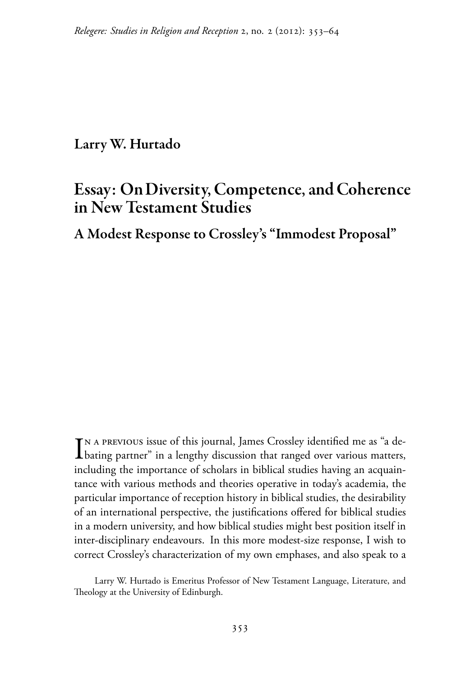## Larry W. Hurtado

# **Essay: On Diversity, Competence, and Coherence** in New Testament Studies

A Modest Response to Crossley's "Immodest Proposal"

TN A PREVIOUS issue of this journal, James Crossley identified me as "a de-Ibating partner" in a lengthy discussion that ranged over various matters, including the importance of scholars in biblical studies having an acquaintance with various methods and theories operative in today's academia, the particular importance of reception history in biblical studies, the desirability of an international perspective, the justifications offered for biblical studies in a modern university, and how biblical studies might best position itself in inter-disciplinary endeavours. In this more modest-size response, I wish to correct Crossley's characterization of my own emphases, and also speak to a

Larry W. Hurtado is Emeritus Professor of New Testament Language, Literature, and Theology at the University of Edinburgh.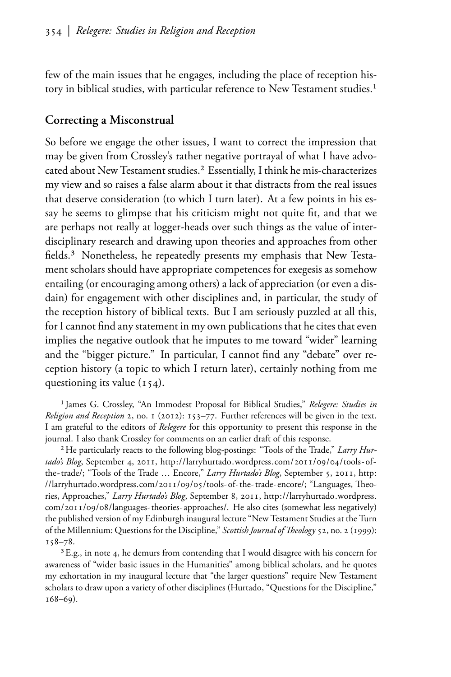few of the main issues that he engages, including the place of reception history in biblical studies, with particular reference to New Testament studies.<sup>1</sup>

#### Correcting a Misconstrual

So before we engage the other issues, I want to correct the impression that may be given from Crossley's rather negative portrayal of what I have advocated about New Testament studies.<sup>2</sup> Essentially, I think he mis-characterizes my view and so raises a false alarm about it that distracts from the real issues that deserve consideration (to which I turn later). At a few points in his essay he seems to glimpse that his criticism might not quite fit, and that we are perhaps not really at logger-heads over such things as the value of interdisciplinary research and drawing upon theories and approaches from other fields.<sup>3</sup> Nonetheless, he repeatedly presents my emphasis that New Testament scholars should have appropriate competences for exegesis as somehow entailing (or encouraging among others) a lack of appreciation (or even a disdain) for engagement with other disciplines and, in particular, the study of the reception history of biblical texts. But I am seriously puzzled at all this, for I cannot find any statement in my own publications that he cites that even implies the negative outlook that he imputes to me toward "wider" learning and the "bigger picture." In particular, I cannot find any "debate" over reception history (a topic to which I return later), certainly nothing from me questioning its value  $(154)$ .

<span id="page-2-0"></span><sup>1</sup> James G. Crossley, "An Immodest Proposal for Biblical Studies," Relegere: Studies in Religion and Reception 2, no. 1 (2012): 153-77. Further references will be given in the text. I am grateful to the editors of Relegere for this opportunity to present this response in the journal. I also thank Crossley for comments on an earlier draft of this response.

<span id="page-2-4"></span><span id="page-2-1"></span><sup>2</sup> He particularly reacts to the following blog-postings: "Tools of the Trade," Larry Hurtado's Blog, September 4, 2011, http://larryhurtado.wordpress.com/2011/09/04/tools-ofthe-trade/; "Tools of the Trade ... Encore," Larry Hurtado's Blog, September 5, 2011, http: //larryhurtado.wordpress.com/2011/09/05/tools-of-the-trade-encore/; "Languages, Theories, Approaches," Larry Hurtado's Blog, September 8, 2011, http://larryhurtado.wordpress. com/2011/09/08/languages-theories-approaches/. He also cites (somewhat less negatively) the published version of my Edinburgh inaugural lecture "New Testament Studies at the Turn of the Millennium: Questions for the Discipline," Scottish Journal of Theology 52, no. 2 (1999):  $158 - 78.$ 

<span id="page-2-3"></span><span id="page-2-2"></span><sup>3</sup> E.g., in note 4, he demurs from contending that I would disagree with his concern for awareness of "wider basic issues in the Humanities" among biblical scholars, and he quotes my exhortation in my inaugural lecture that "the larger questions" require New Testament scholars to draw upon a variety of other disciplines (Hurtado, "Questions for the Discipline,"  $168 - 69$ ).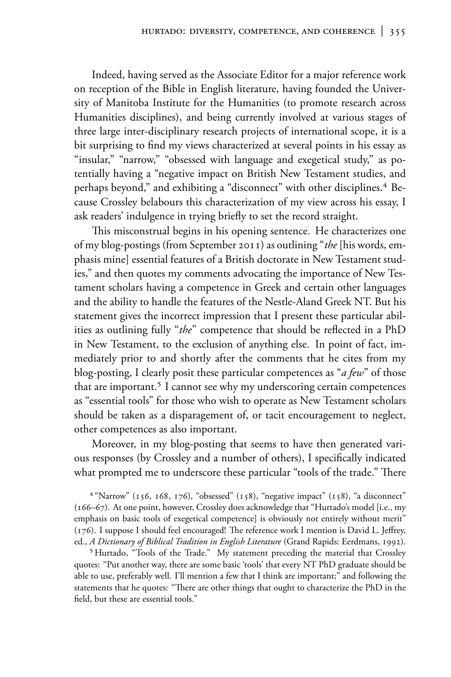Indeed, having served as the Associate Editor for a major reference work on reception of the Bible in English literature, having founded the University of Manitoba Institute for the Humanities (to promote research across Humanities disciplines), and being currently involved at various stages of three large inter-disciplinary research projects of international scope, it is a bit surprising to find my views characterized at several points in his essay as "insular," "narrow," "obsessed with language and exegetical study," as potentially having a "negative impact on British New Testament studies, and perhaps beyond," and exhibiting a "disconnect" with other disciplines.<sup>4</sup> Because Crossley belabours this characterization of my view across his essay, I ask readers' indulgence in trying briefly to set the record straight.

This misconstrual begins in his opening sentence. He characterizes one of my blog-postings (from September 2011) as outlining "the [his words, emphasis mine] essential features of a British doctorate in New Testament studies," and then quotes my comments advocating the importance of New Testament scholars having a competence in Greek and certain other languages and the ability to handle the features of the Nestle-Aland Greek NT. But his statement gives the incorrect impression that I present these particular abilities as outlining fully "the" competence that should be reflected in a PhD in New Testament, to the exclusion of anything else. In point of fact, immediately prior to and shortly after the comments that he cites from my blog-posting, I clearly posit these particular competences as "*a few*" of those that are important.<sup>5</sup> I cannot see why my underscoring certain competences as "essential tools" for those who wish to operate as New Testament scholars should be taken as a disparagement of, or tacit encouragement to neglect, other competences as also important.

Moreover, in my blog-posting that seems to have then generated various responses (by Crossley and a number of others), I specifically indicated what prompted me to underscore these particular "tools of the trade." There

<span id="page-3-0"></span><sup>4</sup> "Narrow" (156, 168, 176), "obsessed" (158), "negative impact" (158), "a disconnect" (166-67). At one point, however, Crossley does acknowledge that "Hurtado's model [i.e., my emphasis on basic tools of exegetical competence] is obviously not entirely without merit" (176). I suppose I should feel encouraged! The reference work I mention is David L. Jeffrey, ed., A Dictionary of Biblical Tradition in English Literature (Grand Rapids: Eerdmans, 1992).

<span id="page-3-1"></span><sup>5</sup> Hurtado, "Tools of the Trade." My statement preceding the material that Crossley quotes: "Put another way, there are some basic 'tools' that every NT PhD graduate should be able to use, preferably well. I'll mention a few that I think are important;" and following the statements that he quotes: "There are other things that ought to characterize the PhD in the field, but these are essential tools."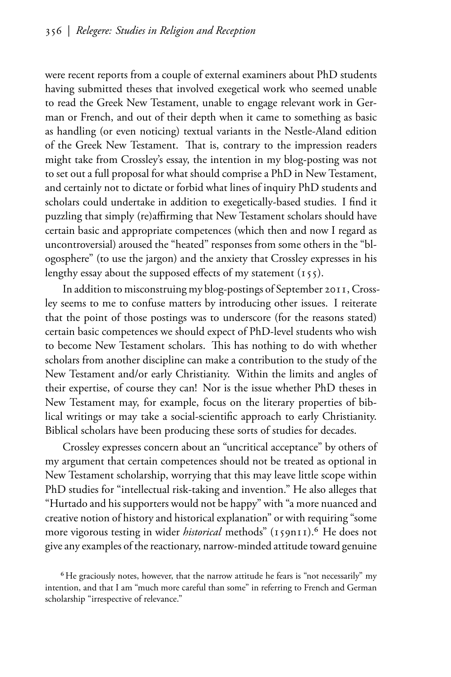were recent reports from a couple of external examiners about PhD students having submitted theses that involved exegetical work who seemed unable to read the Greek New Testament, unable to engage relevant work in German or French, and out of their depth when it came to something as basic as handling (or even noticing) textual variants in the Nestle-Aland edition of the Greek New Testament. That is, contrary to the impression readers might take from Crossley's essay, the intention in my blog-posting was not to set out a full proposal for what should comprise a PhD in New Testament, and certainly not to dictate or forbid what lines of inquiry PhD students and scholars could undertake in addition to exegetically-based studies. I find it puzzling that simply (re)affirming that New Testament scholars should have certain basic and appropriate competences (which then and now I regard as uncontroversial) aroused the "heated" responses from some others in the "blogosphere" (to use the jargon) and the anxiety that Crossley expresses in his lengthy essay about the supposed effects of my statement  $(155)$ .

In addition to misconstruing my blog-postings of September 2011, Crossley seems to me to confuse matters by introducing other issues. I reiterate that the point of those postings was to underscore (for the reasons stated) certain basic competences we should expect of PhD-level students who wish to become New Testament scholars. This has nothing to do with whether scholars from another discipline can make a contribution to the study of the New Testament and/or early Christianity. Within the limits and angles of their expertise, of course they can! Nor is the issue whether PhD theses in New Testament may, for example, focus on the literary properties of biblical writings or may take a social-scientific approach to early Christianity. Biblical scholars have been producing these sorts of studies for decades.

Crossley expresses concern about an "uncritical acceptance" by others of my argument that certain competences should not be treated as optional in New Testament scholarship, worrying that this may leave little scope within PhD studies for "intellectual risk-taking and invention." He also alleges that "Hurtado and his supporters would not be happy" with "a more nuanced and creative notion of history and historical explanation" or with requiring "some more vigorous testing in wider *historical* methods" (159n11).<sup>6</sup> He does not give any examples of the reactionary, narrow-minded attitude toward genuine

<span id="page-4-0"></span><sup>&</sup>lt;sup>6</sup>He graciously notes, however, that the narrow attitude he fears is "not necessarily" my intention, and that I am "much more careful than some" in referring to French and German scholarship "irrespective of relevance."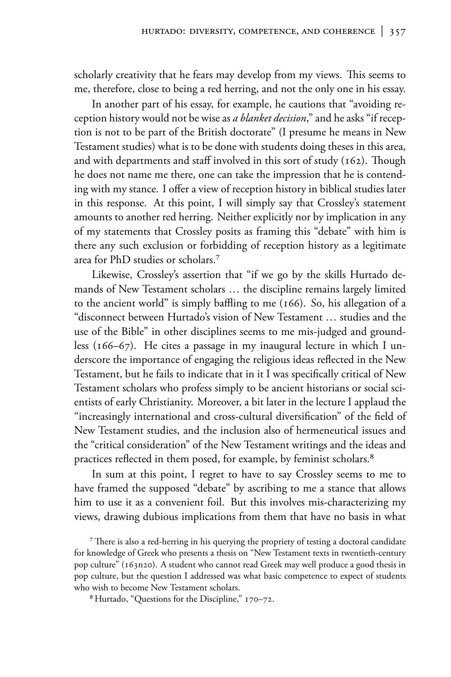scholarly creativity that he fears may develop from my views. This seems to me, therefore, close to being a red herring, and not the only one in his essay.

In another part of his essay, for example, he cautions that "avoiding reception history would not be wise as a blanket decision," and he asks "if reception is not to be part of the British doctorate" (I presume he means in New Testament studies) what is to be done with students doing theses in this area, and with departments and staff involved in this sort of study (162). Though he does not name me there, one can take the impression that he is contending with my stance. I offer a view of reception history in biblical studies later in this response. At this point, I will simply say that Crossley's statement amounts to another red herring. Neither explicitly nor by implication in any of my statements that Crossley posits as framing this "debate" with him is there any such exclusion or forbidding of reception history as a legitimate area for PhD studies or scholars.<sup>7</sup>

Likewise, Crossley's assertion that "if we go by the skills Hurtado demands of New Testament scholars ... the discipline remains largely limited to the ancient world" is simply baffling to me  $(166)$ . So, his allegation of a "disconnect between Hurtado's vision of New Testament ... studies and the use of the Bible" in other disciplines seems to me mis-judged and groundless  $(166-67)$ . He cites a passage in my inaugural lecture in which I underscore the importance of engaging the religious ideas reflected in the New Testament, but he fails to indicate that in it I was specifically critical of New Testament scholars who profess simply to be ancient historians or social scientists of early Christianity. Moreover, a bit later in the lecture I applaud the "increasingly international and cross-cultural diversification" of the field of New Testament studies, and the inclusion also of hermeneutical issues and the "critical consideration" of the New Testament writings and the ideas and practices reflected in them posed, for example, by feminist scholars.<sup>8</sup>

In sum at this point, I regret to have to say Crossley seems to me to have framed the supposed "debate" by ascribing to me a stance that allows him to use it as a convenient foil. But this involves mis-characterizing my views, drawing dubious implications from them that have no basis in what

<span id="page-5-0"></span><sup>7</sup> There is also a red-herring in his querying the propriety of testing a doctoral candidate for knowledge of Greek who presents a thesis on "New Testament texts in twentieth-century pop culture" (163n20). A student who cannot read Greek may well produce a good thesis in pop culture, but the question I addressed was what basic competence to expect of students who wish to become New Testament scholars.

<span id="page-5-1"></span><sup>8</sup> Hurtado, "Questions for the Discipline," 170-72.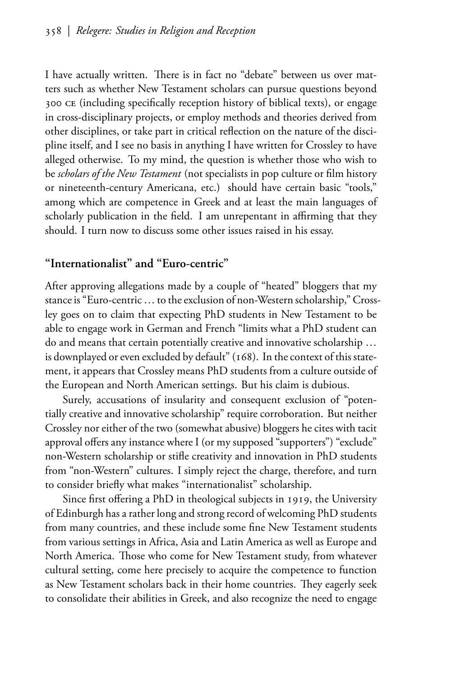I have actually written. There is in fact no "debate" between us over matters such as whether New Testament scholars can pursue questions beyond 300 CE (including specifically reception history of biblical texts), or engage in cross-disciplinary projects, or employ methods and theories derived from other disciplines, or take part in critical reflection on the nature of the discipline itself, and I see no basis in anything I have written for Crossley to have alleged otherwise. To my mind, the question is whether those who wish to be scholars of the New Testament (not specialists in pop culture or film history or nineteenth-century Americana, etc.) should have certain basic "tools," among which are competence in Greek and at least the main languages of scholarly publication in the field. I am unrepentant in affirming that they should. I turn now to discuss some other issues raised in his essay.

### "Internationalist" and "Euro-centric"

After approving allegations made by a couple of "heated" bloggers that my stance is "Euro-centric . . . to the exclusion of non-Western scholarship," Crossley goes on to claim that expecting PhD students in New Testament to be able to engage work in German and French "limits what a PhD student can do and means that certain potentially creative and innovative scholarship ... is downplayed or even excluded by default" (168). In the context of this statement, it appears that Crossley means PhD students from a culture outside of the European and North American settings. But his claim is dubious.

Surely, accusations of insularity and consequent exclusion of "potentially creative and innovative scholarship" require corroboration. But neither Crossley nor either of the two (somewhat abusive) bloggers he cites with tacit approval offers any instance where I (or my supposed "supporters") "exclude" non-Western scholarship or stifle creativity and innovation in PhD students from "non-Western" cultures. I simply reject the charge, therefore, and turn to consider briefly what makes "internationalist" scholarship.

Since first offering a PhD in theological subjects in 1919, the University of Edinburgh has a rather long and strong record of welcoming PhD students from many countries, and these include some fine New Testament students from various settings in Africa, Asia and Latin America as well as Europe and North America. Those who come for New Testament study, from whatever cultural setting, come here precisely to acquire the competence to function as New Testament scholars back in their home countries. They eagerly seek to consolidate their abilities in Greek, and also recognize the need to engage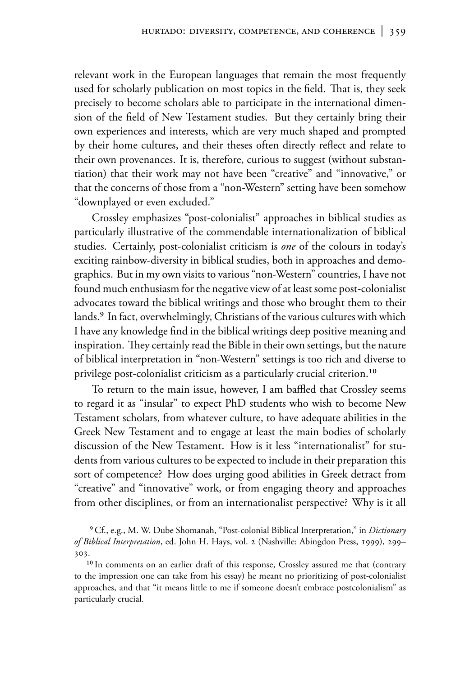relevant work in the European languages that remain the most frequently used for scholarly publication on most topics in the field. That is, they seek precisely to become scholars able to participate in the international dimension of the field of New Testament studies. But they certainly bring their own experiences and interests, which are very much shaped and prompted by their home cultures, and their theses often directly reflect and relate to their own provenances. It is, therefore, curious to suggest (without substantiation) that their work may not have been "creative" and "innovative," or that the concerns of those from a "non-Western" setting have been somehow "downplayed or even excluded."

Crossley emphasizes "post-colonialist" approaches in biblical studies as particularly illustrative of the commendable internationalization of biblical studies. Certainly, post-colonialist criticism is one of the colours in today's exciting rainbow-diversity in biblical studies, both in approaches and demographics. But in my own visits to various "non-Western" countries, I have not found much enthusiasm for the negative view of at least some post-colonialist advocates toward the biblical writings and those who brought them to their lands.<sup>9</sup> In fact, overwhelmingly, Christians of the various cultures with which I have any knowledge find in the biblical writings deep positive meaning and inspiration. They certainly read the Bible in their own settings, but the nature of biblical interpretation in "non-Western" settings is too rich and diverse to privilege post-colonialist criticism as a particularly crucial criterion.<sup>10</sup>

To return to the main issue, however, I am baffled that Crossley seems to regard it as "insular" to expect PhD students who wish to become New Testament scholars, from whatever culture, to have adequate abilities in the Greek New Testament and to engage at least the main bodies of scholarly discussion of the New Testament. How is it less "internationalist" for students from various cultures to be expected to include in their preparation this sort of competence? How does urging good abilities in Greek detract from "creative" and "innovative" work, or from engaging theory and approaches from other disciplines, or from an internationalist perspective? Why is it all

<span id="page-7-0"></span><sup>9</sup> Cf., e.g., M. W. Dube Shomanah, "Post-colonial Biblical Interpretation," in *Dictionary* of Biblical Interpretation, ed. John H. Hays, vol. 2 (Nashville: Abingdon Press, 1999), 299-303.

<span id="page-7-1"></span><sup>10</sup> In comments on an earlier draft of this response, Crossley assured me that (contrary to the impression one can take from his essay) he meant no prioritizing of post-colonialist approaches, and that "it means little to me if someone doesn't embrace postcolonialism" as particularly crucial.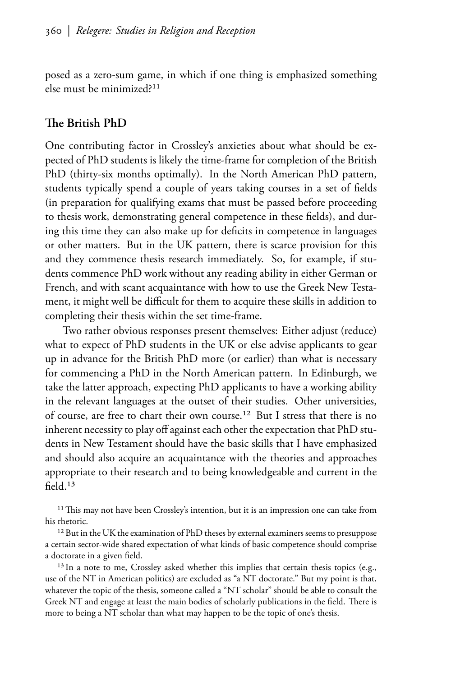posed as a zero-sum game, in which if one thing is emphasized something else must be minimized?<sup>11</sup>

#### The British PhD

One contributing factor in Crossley's anxieties about what should be expected of PhD students is likely the time-frame for completion of the British PhD (thirty-six months optimally). In the North American PhD pattern, students typically spend a couple of years taking courses in a set of fields (in preparation for qualifying exams that must be passed before proceeding to thesis work, demonstrating general competence in these fields), and during this time they can also make up for deficits in competence in languages or other matters. But in the UK pattern, there is scarce provision for this and they commence thesis research immediately. So, for example, if students commence PhD work without any reading ability in either German or French, and with scant acquaintance with how to use the Greek New Testament, it might well be difficult for them to acquire these skills in addition to completing their thesis within the set time-frame.

Two rather obvious responses present themselves: Either adjust (reduce) what to expect of PhD students in the UK or else advise applicants to gear up in advance for the British PhD more (or earlier) than what is necessary for commencing a PhD in the North American pattern. In Edinburgh, we take the latter approach, expecting PhD applicants to have a working ability in the relevant languages at the outset of their studies. Other universities, of course, are free to chart their own course.<sup>12</sup> But I stress that there is no inherent necessity to play off against each other the expectation that PhD students in New Testament should have the basic skills that I have emphasized and should also acquire an acquaintance with the theories and approaches appropriate to their research and to being knowledgeable and current in the  $field<sup>13</sup>$ 

<span id="page-8-0"></span><sup>11</sup> This may not have been Crossley's intention, but it is an impression one can take from his rhetoric.

<span id="page-8-1"></span><sup>12</sup> But in the UK the examination of PhD theses by external examiners seems to presuppose a certain sector-wide shared expectation of what kinds of basic competence should comprise a doctorate in a given field.

<span id="page-8-2"></span><sup>13</sup> In a note to me, Crossley asked whether this implies that certain thesis topics (e.g., use of the NT in American politics) are excluded as "a NT doctorate." But my point is that, whatever the topic of the thesis, someone called a "NT scholar" should be able to consult the Greek NT and engage at least the main bodies of scholarly publications in the field. There is more to being a NT scholar than what may happen to be the topic of one's thesis.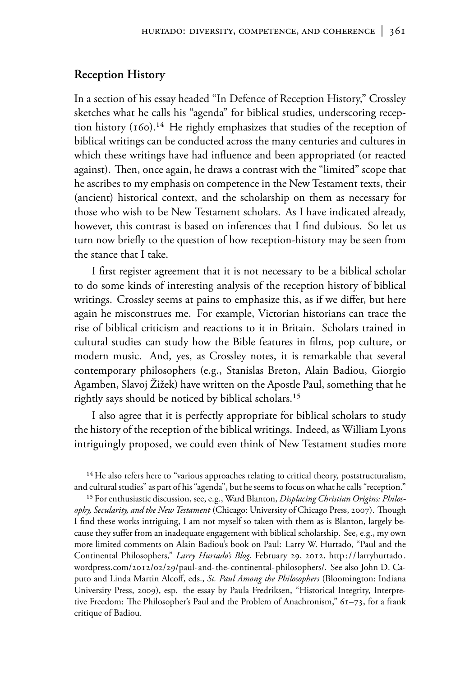#### **Reception History**

In a section of his essay headed "In Defence of Reception History," Crossley sketches what he calls his "agenda" for biblical studies, underscoring reception history  $(160)^{14}$  He rightly emphasizes that studies of the reception of biblical writings can be conducted across the many centuries and cultures in which these writings have had influence and been appropriated (or reacted against). Then, once again, he draws a contrast with the "limited" scope that he ascribes to my emphasis on competence in the New Testament texts, their (ancient) historical context, and the scholarship on them as necessary for those who wish to be New Testament scholars. As I have indicated already, however, this contrast is based on inferences that I find dubious. So let us turn now briefly to the question of how reception-history may be seen from the stance that I take.

I first register agreement that it is not necessary to be a biblical scholar to do some kinds of interesting analysis of the reception history of biblical writings. Crossley seems at pains to emphasize this, as if we differ, but here again he misconstrues me. For example, Victorian historians can trace the rise of biblical criticism and reactions to it in Britain. Scholars trained in cultural studies can study how the Bible features in films, pop culture, or modern music. And, yes, as Crossley notes, it is remarkable that several contemporary philosophers (e.g., Stanislas Breton, Alain Badiou, Giorgio Agamben, Slavoj Žižek) have written on the Apostle Paul, something that he rightly says should be noticed by biblical scholars.<sup>15</sup>

I also agree that it is perfectly appropriate for biblical scholars to study the history of the reception of the biblical writings. Indeed, as William Lyons intriguingly proposed, we could even think of New Testament studies more

<span id="page-9-1"></span><sup>15</sup> For enthusiastic discussion, see, e.g., Ward Blanton, *Displacing Christian Origins: Philos*ophy, Secularity, and the New Testament (Chicago: University of Chicago Press, 2007). Though I find these works intriguing, I am not myself so taken with them as is Blanton, largely because they suffer from an inadequate engagement with biblical scholarship. See, e.g., my own more limited comments on Alain Badiou's book on Paul: Larry W. Hurtado, "Paul and the Continental Philosophers," Larry Hurtado's Blog, February 29, 2012, http://larryhurtado. wordpress.com/2012/02/29/paul-and-the-continental-philosophers/. See also John D. Caputo and Linda Martin Alcoff, eds., St. Paul Among the Philosophers (Bloomington: Indiana University Press, 2009), esp. the essay by Paula Fredriksen, "Historical Integrity, Interpretive Freedom: The Philosopher's Paul and the Problem of Anachronism," 61–73, for a frank critique of Badiou.

<span id="page-9-0"></span><sup>&</sup>lt;sup>14</sup> He also refers here to "various approaches relating to critical theory, poststructuralism, and cultural studies" as part of his "agenda", but he seems to focus on what he calls "reception."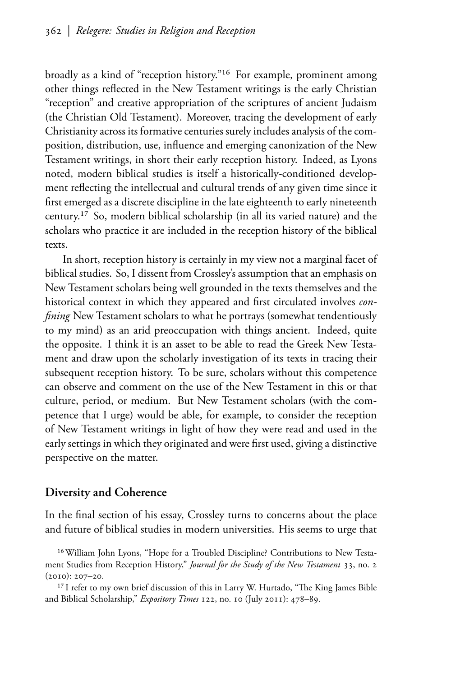broadly as a kind of "reception history."<sup>16</sup> For example, prominent among other things reflected in the New Testament writings is the early Christian "reception" and creative appropriation of the scriptures of ancient Judaism (the Christian Old Testament). Moreover, tracing the development of early Christianity across its formative centuries surely includes analysis of the composition, distribution, use, influence and emerging canonization of the New Testament writings, in short their early reception history. Indeed, as Lyons noted, modern biblical studies is itself a historically-conditioned development reflecting the intellectual and cultural trends of any given time since it first emerged as a discrete discipline in the late eighteenth to early nineteenth century.<sup>17</sup> So, modern biblical scholarship (in all its varied nature) and the scholars who practice it are included in the reception history of the biblical texts.

In short, reception history is certainly in my view not a marginal facet of biblical studies. So, I dissent from Crossley's assumption that an emphasis on New Testament scholars being well grounded in the texts themselves and the historical context in which they appeared and first circulated involves *confining* New Testament scholars to what he portrays (somewhat tendentiously to my mind) as an arid preoccupation with things ancient. Indeed, quite the opposite. I think it is an asset to be able to read the Greek New Testament and draw upon the scholarly investigation of its texts in tracing their subsequent reception history. To be sure, scholars without this competence can observe and comment on the use of the New Testament in this or that culture, period, or medium. But New Testament scholars (with the competence that I urge) would be able, for example, to consider the reception of New Testament writings in light of how they were read and used in the early settings in which they originated and were first used, giving a distinctive perspective on the matter.

#### **Diversity and Coherence**

In the final section of his essay, Crossley turns to concerns about the place and future of biblical studies in modern universities. His seems to urge that

<span id="page-10-0"></span><sup>&</sup>lt;sup>16</sup> William John Lyons, "Hope for a Troubled Discipline? Contributions to New Testament Studies from Reception History," Journal for the Study of the New Testament 33, no. 2  $(2010): 207 - 20.$ 

<span id="page-10-1"></span><sup>&</sup>lt;sup>17</sup> I refer to my own brief discussion of this in Larry W. Hurtado, "The King James Bible and Biblical Scholarship," Expository Times 122, no. 10 (July 2011): 478-89.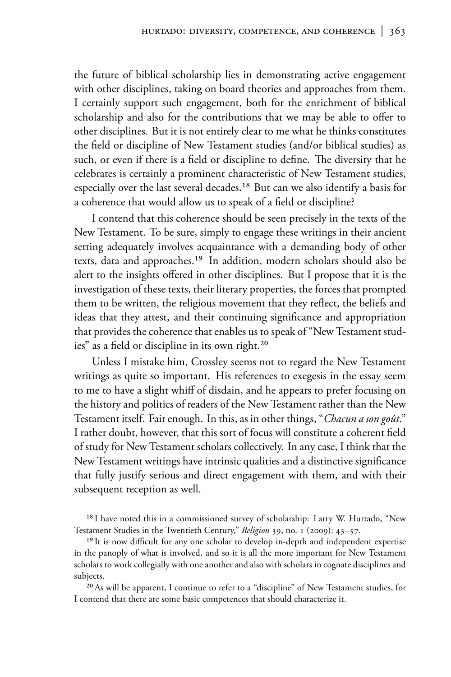the future of biblical scholarship lies in demonstrating active engagement with other disciplines, taking on board theories and approaches from them. I certainly support such engagement, both for the enrichment of biblical scholarship and also for the contributions that we may be able to offer to other disciplines. But it is not entirely clear to me what he thinks constitutes the field or discipline of New Testament studies (and/or biblical studies) as such, or even if there is a field or discipline to define. The diversity that he celebrates is certainly a prominent characteristic of New Testament studies, especially over the last several decades.<sup>18</sup> But can we also identify a basis for a coherence that would allow us to speak of a field or discipline?

I contend that this coherence should be seen precisely in the texts of the New Testament. To be sure, simply to engage these writings in their ancient setting adequately involves acquaintance with a demanding body of other texts, data and approaches.<sup>19</sup> In addition, modern scholars should also be alert to the insights offered in other disciplines. But I propose that it is the investigation of these texts, their literary properties, the forces that prompted them to be written, the religious movement that they reflect, the beliefs and ideas that they attest, and their continuing significance and appropriation that provides the coherence that enables us to speak of "New Testament studies" as a field or discipline in its own right.<sup>20</sup>

Unless I mistake him, Crossley seems not to regard the New Testament writings as quite so important. His references to exegesis in the essay seem to me to have a slight whiff of disdain, and he appears to prefer focusing on the history and politics of readers of the New Testament rather than the New Testament itself. Fair enough. In this, as in other things, "Chacun a son goût." I rather doubt, however, that this sort of focus will constitute a coherent field of study for New Testament scholars collectively. In any case, I think that the New Testament writings have intrinsic qualities and a distinctive significance that fully justify serious and direct engagement with them, and with their subsequent reception as well.

<span id="page-11-0"></span><sup>18</sup> I have noted this in a commissioned survey of scholarship: Larry W. Hurtado, "New Testament Studies in the Twentieth Century," Religion 39, no. 1 (2009): 43-57.

<span id="page-11-1"></span><sup>19</sup> It is now difficult for any one scholar to develop in-depth and independent expertise in the panoply of what is involved, and so it is all the more important for New Testament scholars to work collegially with one another and also with scholars in cognate disciplines and subjects.

<span id="page-11-2"></span><sup>20</sup> As will be apparent, I continue to refer to a "discipline" of New Testament studies, for I contend that there are some basic competences that should characterize it.